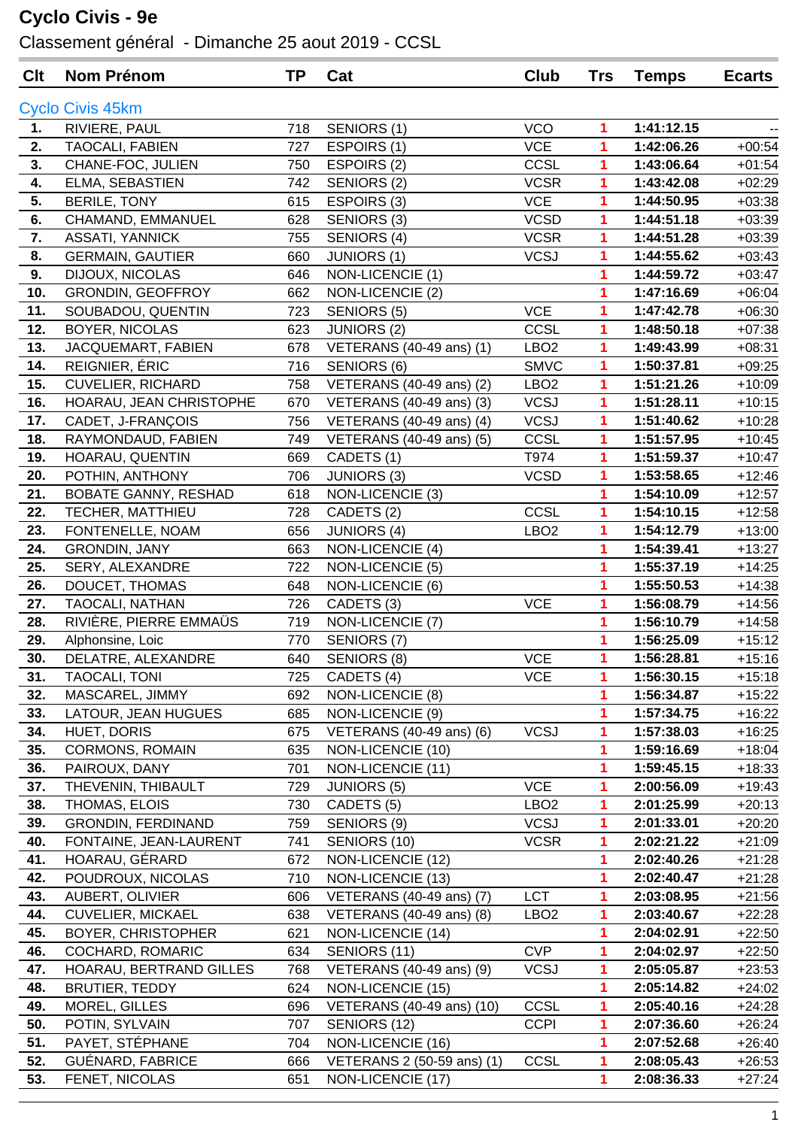## **Cyclo Civis - 9e**

Classement général - Dimanche 25 aout 2019 - CCSL

| Clt        | <b>Nom Prénom</b>                  | <b>TP</b>  | Cat                                             | Club             | <b>Trs</b> | <b>Temps</b>             | <b>Ecarts</b> |
|------------|------------------------------------|------------|-------------------------------------------------|------------------|------------|--------------------------|---------------|
|            | <b>Cyclo Civis 45km</b>            |            |                                                 |                  |            |                          |               |
| 1.         | RIVIERE, PAUL                      | 718        | SENIORS (1)                                     | <b>VCO</b>       | 1          | 1:41:12.15               |               |
| 2.         | TAOCALI, FABIEN                    | 727        | ESPOIRS (1)                                     | <b>VCE</b>       | 1          | 1:42:06.26               | $+00:54$      |
| 3.         | CHANE-FOC, JULIEN                  | 750        | ESPOIRS (2)                                     | CCSL             | 1          | 1:43:06.64               | $+01:54$      |
| 4.         | ELMA, SEBASTIEN                    | 742        | SENIORS (2)                                     | <b>VCSR</b>      | 1          | 1:43:42.08               | $+02:29$      |
| 5.         | BERILE, TONY                       | 615        | ESPOIRS (3)                                     | <b>VCE</b>       | 1          | 1:44:50.95               | $+03:38$      |
| 6.         | CHAMAND, EMMANUEL                  | 628        | SENIORS (3)                                     | <b>VCSD</b>      | 1          | 1:44:51.18               | $+03:39$      |
| 7.         | <b>ASSATI, YANNICK</b>             | 755        | SENIORS (4)                                     | <b>VCSR</b>      | 1          | 1:44:51.28               | $+03:39$      |
| 8.         | <b>GERMAIN, GAUTIER</b>            | 660        | <b>JUNIORS (1)</b>                              | <b>VCSJ</b>      | 1          | 1:44:55.62               | $+03:43$      |
| 9.         | DIJOUX, NICOLAS                    | 646        | NON-LICENCIE (1)                                |                  | 1          | 1:44:59.72               | $+03:47$      |
| 10.        | <b>GRONDIN, GEOFFROY</b>           | 662        | NON-LICENCIE (2)                                |                  | 1          | 1:47:16.69               | $+06:04$      |
| 11.        | SOUBADOU, QUENTIN                  | 723        | SENIORS (5)                                     | <b>VCE</b>       | 1          | 1:47:42.78               | $+06:30$      |
| 12.        | <b>BOYER, NICOLAS</b>              | 623        | <b>JUNIORS (2)</b>                              | CCSL             | 1          | 1:48:50.18               | $+07:38$      |
| 13.        | JACQUEMART, FABIEN                 | 678        | VETERANS (40-49 ans) (1)                        | LBO <sub>2</sub> | 1          | 1:49:43.99               | $+08:31$      |
| 14.        | REIGNIER, ÉRIC                     | 716        | SENIORS (6)                                     | <b>SMVC</b>      | 1          | 1:50:37.81               | $+09:25$      |
| 15.        | <b>CUVELIER, RICHARD</b>           | 758        | VETERANS (40-49 ans) (2)                        | LBO <sub>2</sub> | 1          | 1:51:21.26               | $+10:09$      |
| 16.        | HOARAU, JEAN CHRISTOPHE            | 670        | VETERANS (40-49 ans) (3)                        | <b>VCSJ</b>      | 1          | 1:51:28.11               | $+10:15$      |
| 17.        | CADET, J-FRANÇOIS                  | 756        | VETERANS (40-49 ans) (4)                        | <b>VCSJ</b>      | 1          | 1:51:40.62               | $+10:28$      |
| 18.        | RAYMONDAUD, FABIEN                 | 749        | VETERANS (40-49 ans) (5)                        | CCSL             | 1          | 1:51:57.95               | $+10:45$      |
| 19.        | HOARAU, QUENTIN                    | 669        | CADETS (1)                                      | T974             | 1          | 1:51:59.37               | $+10:47$      |
| 20.        | POTHIN, ANTHONY                    | 706        | <b>JUNIORS (3)</b>                              | <b>VCSD</b>      | 1          | 1:53:58.65               | $+12:46$      |
| 21.        | <b>BOBATE GANNY, RESHAD</b>        | 618        | NON-LICENCIE (3)                                |                  | 1          | 1:54:10.09               | $+12:57$      |
| 22.        | TECHER, MATTHIEU                   | 728        | CADETS (2)                                      | CCSL             | 1          | 1:54:10.15               | $+12:58$      |
| 23.        | FONTENELLE, NOAM                   | 656        | <b>JUNIORS (4)</b>                              | LBO <sub>2</sub> | 1          | 1:54:12.79               | $+13:00$      |
| 24.        | <b>GRONDIN, JANY</b>               | 663        | NON-LICENCIE (4)                                |                  | 1          | 1:54:39.41               | $+13:27$      |
| 25.        | SERY, ALEXANDRE                    | 722        | NON-LICENCIE (5)                                |                  | 1          | 1:55:37.19               | $+14:25$      |
| 26.        | DOUCET, THOMAS                     | 648        | NON-LICENCIE (6)                                |                  | 1          | 1:55:50.53               | $+14:38$      |
| 27.        | TAOCALI, NATHAN                    | 726        | CADETS (3)                                      | <b>VCE</b>       | 1          | 1:56:08.79               | $+14:56$      |
| 28.        | RIVIÈRE, PIERRE EMMAÜS             | 719        | NON-LICENCIE (7)                                |                  | 1          | 1:56:10.79               | $+14:58$      |
| 29.        | Alphonsine, Loic                   | 770        | SENIORS (7)                                     |                  | 1          | 1:56:25.09               | $+15:12$      |
| 30.        | DELATRE, ALEXANDRE                 | 640        | SENIORS (8)                                     | VCE              | 1          | 1:56:28.81               | $+15:16$      |
| 31.        | <b>TAOCALI, TONI</b>               | 725        | CADETS (4)                                      | <b>VCE</b>       | 1          | 1:56:30.15               | $+15:18$      |
| 32.        | MASCAREL, JIMMY                    | 692        | NON-LICENCIE (8)                                |                  | 1          | 1:56:34.87               | $+15:22$      |
| 33.        | LATOUR, JEAN HUGUES                | 685        | NON-LICENCIE (9)                                |                  | 1          | 1:57:34.75               | $+16:22$      |
| 34.        | HUET, DORIS                        | 675        | VETERANS (40-49 ans) (6)                        | <b>VCSJ</b>      | 1          | 1:57:38.03               | $+16:25$      |
| 35.        | <b>CORMONS, ROMAIN</b>             | 635        | NON-LICENCIE (10)                               |                  | 1          | 1:59:16.69               | $+18:04$      |
| 36.        | PAIROUX, DANY                      | 701        | NON-LICENCIE (11)                               |                  | 1          | 1:59:45.15               | $+18:33$      |
| 37.        | THEVENIN, THIBAULT                 | 729        | <b>JUNIORS (5)</b>                              | <b>VCE</b>       | 1          | 2:00:56.09               | $+19:43$      |
| 38.        | THOMAS, ELOIS                      | 730        | CADETS (5)                                      | LBO <sub>2</sub> | 1          | 2:01:25.99               | $+20:13$      |
| 39.        | <b>GRONDIN, FERDINAND</b>          | 759        | SENIORS (9)                                     | <b>VCSJ</b>      | 1          | 2:01:33.01               | $+20:20$      |
| 40.        | FONTAINE, JEAN-LAURENT             | 741        | SENIORS (10)                                    | <b>VCSR</b>      | 1          | 2:02:21.22               | $+21:09$      |
| 41.        | HOARAU, GÉRARD                     | 672        | NON-LICENCIE (12)                               |                  | 1          | 2:02:40.26               | $+21:28$      |
| 42.        | POUDROUX, NICOLAS                  | 710        | NON-LICENCIE (13)                               |                  | 1          | 2:02:40.47               | $+21:28$      |
| 43.        | AUBERT, OLIVIER                    | 606        | VETERANS (40-49 ans) (7)                        | <b>LCT</b>       | 1          | 2:03:08.95               | $+21:56$      |
| 44.        | <b>CUVELIER, MICKAEL</b>           | 638        | VETERANS (40-49 ans) (8)                        | LBO <sub>2</sub> | 1          | 2:03:40.67               | $+22:28$      |
| 45.        | <b>BOYER, CHRISTOPHER</b>          | 621        | NON-LICENCIE (14)                               |                  | 1          | 2:04:02.91               | $+22:50$      |
| 46.        | COCHARD, ROMARIC                   | 634        | SENIORS (11)                                    | <b>CVP</b>       | 1          | 2:04:02.97               | $+22:50$      |
| 47.        | HOARAU, BERTRAND GILLES            | 768        | VETERANS (40-49 ans) (9)                        | <b>VCSJ</b>      | 1          | 2:05:05.87               | $+23:53$      |
| 48.        | <b>BRUTIER, TEDDY</b>              | 624        | NON-LICENCIE (15)                               |                  | 1          | 2:05:14.82               | $+24:02$      |
| 49.        | MOREL, GILLES                      | 696        | VETERANS (40-49 ans) (10)                       | CCSL             | 1          | 2:05:40.16               | $+24:28$      |
| 50.        | POTIN, SYLVAIN                     | 707        | SENIORS (12)                                    | <b>CCPI</b>      | 1          | 2:07:36.60               | $+26:24$      |
| 51.<br>52. | PAYET, STÉPHANE                    | 704        | NON-LICENCIE (16)                               |                  | 1          | 2:07:52.68               | $+26:40$      |
| 53.        | GUÉNARD, FABRICE<br>FENET, NICOLAS | 666<br>651 | VETERANS 2 (50-59 ans) (1)<br>NON-LICENCIE (17) | CCSL             | 1<br>1     | 2:08:05.43<br>2:08:36.33 | $+26:53$      |
|            |                                    |            |                                                 |                  |            |                          | $+27:24$      |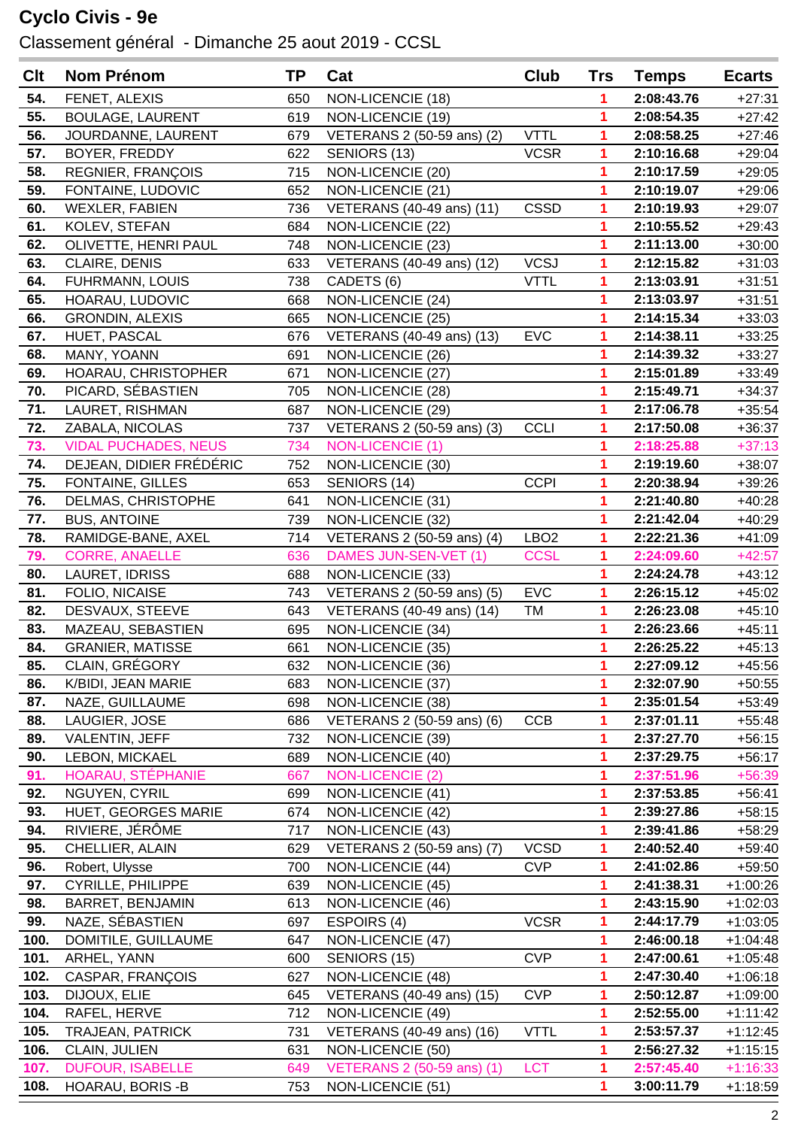## **Cyclo Civis - 9e**

Classement général - Dimanche 25 aout 2019 - CCSL

| Clt        | Nom Prénom                                  | <b>TP</b>  | Cat                                    | Club             | Trs    | <b>Temps</b>             | <b>Ecarts</b>        |
|------------|---------------------------------------------|------------|----------------------------------------|------------------|--------|--------------------------|----------------------|
| 54.        | FENET, ALEXIS                               | 650        | NON-LICENCIE (18)                      |                  | 1      | 2:08:43.76               | $+27:31$             |
| 55.        | <b>BOULAGE, LAURENT</b>                     | 619        | NON-LICENCIE (19)                      |                  | 1      | 2:08:54.35               | $+27:42$             |
| 56.        | JOURDANNE, LAURENT                          | 679        | VETERANS 2 (50-59 ans) (2)             | <b>VTTL</b>      | 1      | 2:08:58.25               | $+27:46$             |
| 57.        | BOYER, FREDDY                               | 622        | SENIORS (13)                           | <b>VCSR</b>      | 1      | 2:10:16.68               | $+29:04$             |
| 58.        | <b>REGNIER, FRANÇOIS</b>                    | 715        | NON-LICENCIE (20)                      |                  | 1      | 2:10:17.59               | $+29:05$             |
| 59.        | FONTAINE, LUDOVIC                           | 652        | NON-LICENCIE (21)                      |                  | 1      | 2:10:19.07               | $+29:06$             |
| 60.        | <b>WEXLER, FABIEN</b>                       | 736        | VETERANS (40-49 ans) (11)              | <b>CSSD</b>      | 1      | 2:10:19.93               | $+29:07$             |
| 61.        | KOLEV, STEFAN                               | 684        | NON-LICENCIE (22)                      |                  | 1      | 2:10:55.52               | $+29:43$             |
| 62.        | OLIVETTE, HENRI PAUL                        | 748        | NON-LICENCIE (23)                      |                  |        | 2:11:13.00               | $+30:00$             |
| 63.        | CLAIRE, DENIS                               | 633        | VETERANS (40-49 ans) (12)              | <b>VCSJ</b>      | 1      | 2:12:15.82               | $+31:03$             |
| 64.        | FUHRMANN, LOUIS                             | 738        | CADETS (6)                             | <b>VTTL</b>      | 1      | 2:13:03.91               | $+31:51$             |
| 65.        | HOARAU, LUDOVIC                             | 668        | NON-LICENCIE (24)                      |                  | 1      | 2:13:03.97               | $+31:51$             |
| 66.        | <b>GRONDIN, ALEXIS</b>                      | 665        | NON-LICENCIE (25)                      |                  | 1      | 2:14:15.34               | $+33:03$             |
| 67.        | HUET, PASCAL                                | 676        | VETERANS (40-49 ans) (13)              | <b>EVC</b>       | 1      | 2:14:38.11               | $+33:25$             |
| 68.        | MANY, YOANN                                 | 691        | NON-LICENCIE (26)                      |                  | 1      | 2:14:39.32               | $+33:27$             |
| 69.        | HOARAU, CHRISTOPHER                         | 671        | NON-LICENCIE (27)                      |                  |        | 2:15:01.89               | $+33:49$             |
| 70.        | PICARD, SÉBASTIEN                           | 705        | NON-LICENCIE (28)                      |                  | 1      | 2:15:49.71               | $+34:37$             |
| 71.        | LAURET, RISHMAN                             | 687        | NON-LICENCIE (29)                      |                  | 1      | 2:17:06.78               | $+35:54$             |
| 72.        | ZABALA, NICOLAS                             | 737        | VETERANS 2 (50-59 ans) (3)             | <b>CCLI</b>      | 1      | 2:17:50.08               | $+36:37$             |
| 73.        | <b>VIDAL PUCHADES, NEUS</b>                 | 734        | <b>NON-LICENCIE (1)</b>                |                  | 1      | 2:18:25.88               | $+37:13$             |
| 74.        | DEJEAN, DIDIER FRÉDÉRIC                     | 752        | NON-LICENCIE (30)                      |                  | 1      | 2:19:19.60               | $+38:07$             |
| 75.        | <b>FONTAINE, GILLES</b>                     | 653        | SENIORS (14)                           | <b>CCPI</b>      | 1      | 2:20:38.94               | $+39:26$             |
| 76.        | DELMAS, CHRISTOPHE                          | 641        | NON-LICENCIE (31)                      |                  | 1      | 2:21:40.80               | $+40:28$             |
| 77.        | <b>BUS, ANTOINE</b>                         | 739        | NON-LICENCIE (32)                      |                  | 1      | 2:21:42.04               | $+40:29$             |
| 78.        | RAMIDGE-BANE, AXEL                          | 714        | VETERANS 2 (50-59 ans) (4)             | LBO <sub>2</sub> | 1      | 2:22:21.36               | $+41:09$             |
| 79.        | <b>CORRE, ANAELLE</b>                       | 636        | DAMES JUN-SEN-VET (1)                  | <b>CCSL</b>      | 1      | 2:24:09.60               | $+42:57$             |
| 80.        | LAURET, IDRISS                              | 688        | NON-LICENCIE (33)                      |                  | 1      | 2:24:24.78               | $+43:12$             |
| 81.        | FOLIO, NICAISE                              | 743        | VETERANS 2 (50-59 ans) (5)             | <b>EVC</b>       | 1      | 2:26:15.12               | $+45:02$             |
| 82.        | DESVAUX, STEEVE                             | 643        | VETERANS (40-49 ans) (14)              | TM               | 1      | 2:26:23.08               | $+45:10$             |
| 83.        | MAZEAU, SEBASTIEN                           | 695        | NON-LICENCIE (34)                      |                  |        | 2:26:23.66               | $+45:11$             |
| 84.        | <b>GRANIER, MATISSE</b>                     | 661        | NON-LICENCIE (35)                      |                  | 1      | 2:26:25.22               | $+45:13$             |
| 85.        | CLAIN, GRÉGORY                              | 632        | NON-LICENCIE (36)                      |                  | 1      | 2:27:09.12               | $+45:56$             |
| 86.        | K/BIDI, JEAN MARIE                          | 683        | NON-LICENCIE (37)                      |                  | 1      | 2:32:07.90               | $+50:55$             |
| 87.        | NAZE, GUILLAUME                             | 698        | NON-LICENCIE (38)                      |                  | 1      | 2:35:01.54               | $+53:49$             |
| 88.        | LAUGIER, JOSE                               | 686        | VETERANS 2 (50-59 ans) (6)             | <b>CCB</b>       | 1      | 2:37:01.11               | $+55:48$             |
| 89.        | VALENTIN, JEFF                              | 732        | NON-LICENCIE (39)                      |                  | 1      | 2:37:27.70               | $+56:15$             |
| 90.<br>91. | LEBON, MICKAEL                              | 689        | NON-LICENCIE (40)                      |                  | 1      | 2:37:29.75               | $+56:17$             |
|            | HOARAU, STÉPHANIE                           | 667        | <b>NON-LICENCIE (2)</b>                |                  | 1      | 2:37:51.96               | $+56:39$             |
| 92.<br>93. | NGUYEN, CYRIL<br><b>HUET, GEORGES MARIE</b> | 699<br>674 | NON-LICENCIE (41)                      |                  | 1      | 2:37:53.85               | $+56:41$             |
| 94.        | RIVIERE, JÉRÔME                             | 717        | NON-LICENCIE (42)<br>NON-LICENCIE (43) |                  | 1<br>1 | 2:39:27.86<br>2:39:41.86 | $+58:15$<br>$+58:29$ |
| 95.        | CHELLIER, ALAIN                             | 629        | VETERANS 2 (50-59 ans) (7)             | <b>VCSD</b>      | 1      | 2:40:52.40               | $+59:40$             |
| 96.        | Robert, Ulysse                              | 700        | NON-LICENCIE (44)                      | <b>CVP</b>       | 1      | 2:41:02.86               | $+59:50$             |
| 97.        | <b>CYRILLE, PHILIPPE</b>                    | 639        | NON-LICENCIE (45)                      |                  | 1      | 2:41:38.31               | +1:00:26             |
| 98.        | <b>BARRET, BENJAMIN</b>                     | 613        | NON-LICENCIE (46)                      |                  | 1      | 2:43:15.90               | $+1:02:03$           |
| 99.        | NAZE, SÉBASTIEN                             | 697        | ESPOIRS (4)                            | <b>VCSR</b>      | 1      | 2:44:17.79               | $+1:03:05$           |
| 100.       | DOMITILE, GUILLAUME                         | 647        | NON-LICENCIE (47)                      |                  | 1      | 2:46:00.18               | $+1:04:48$           |
| 101.       | ARHEL, YANN                                 | 600        | SENIORS (15)                           | <b>CVP</b>       | 1      | 2:47:00.61               | $+1:05:48$           |
| 102.       | CASPAR, FRANÇOIS                            | 627        | NON-LICENCIE (48)                      |                  | 1      | 2:47:30.40               | $+1:06:18$           |
| 103.       | DIJOUX, ELIE                                | 645        | VETERANS (40-49 ans) (15)              | <b>CVP</b>       | 1      | 2:50:12.87               | $+1:09:00$           |
| 104.       | RAFEL, HERVE                                | 712        | NON-LICENCIE (49)                      |                  | 1      | 2:52:55.00               | $+1:11:42$           |
| 105.       | <b>TRAJEAN, PATRICK</b>                     | 731        | VETERANS (40-49 ans) (16)              | <b>VTTL</b>      | 1      | 2:53:57.37               | $+1:12:45$           |
| 106.       | CLAIN, JULIEN                               | 631        | NON-LICENCIE (50)                      |                  | 1      | 2:56:27.32               | $+1:15:15$           |
| 107.       | <b>DUFOUR, ISABELLE</b>                     | 649        | VETERANS 2 (50-59 ans) (1)             | <b>LCT</b>       | 1      | 2:57:45.40               | $+1:16:33$           |
| 108.       | HOARAU, BORIS - B                           | 753        | NON-LICENCIE (51)                      |                  | 1      | 3:00:11.79               | $+1:18:59$           |